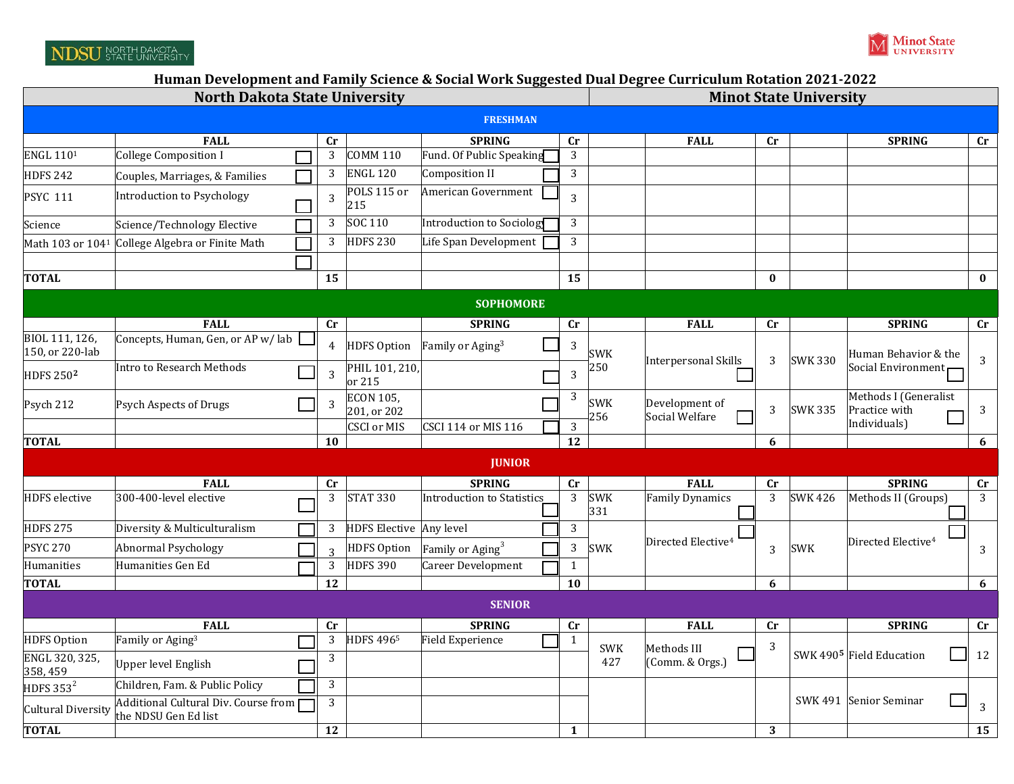## NDSU NORTH DAKOTA

## **Human Development and Family Science & Social Work Suggested Dual Degree Curriculum Rotation 2021‐2022**

| <b>North Dakota State University</b> |                                                              |                        |                                 |                                   |                        | <b>Minot State University</b> |                                  |                        |                      |                                                        |                        |
|--------------------------------------|--------------------------------------------------------------|------------------------|---------------------------------|-----------------------------------|------------------------|-------------------------------|----------------------------------|------------------------|----------------------|--------------------------------------------------------|------------------------|
| <b>FRESHMAN</b>                      |                                                              |                        |                                 |                                   |                        |                               |                                  |                        |                      |                                                        |                        |
|                                      | <b>FALL</b>                                                  | $\mathbf{C}\mathbf{r}$ |                                 | <b>SPRING</b>                     | $\mathbf{C}$ r         |                               | <b>FALL</b>                      | $\mathbf{C}\mathbf{r}$ |                      | <b>SPRING</b>                                          | $\mathbf{C}\mathbf{r}$ |
| <b>ENGL 1101</b>                     | <b>College Composition I</b>                                 | 3                      | <b>COMM 110</b>                 | Fund. Of Public Speaking          | 3                      |                               |                                  |                        |                      |                                                        |                        |
| <b>HDFS 242</b>                      | Couples, Marriages, & Families                               | 3                      | <b>ENGL 120</b>                 | Composition II                    | 3                      |                               |                                  |                        |                      |                                                        |                        |
| <b>PSYC 111</b>                      | Introduction to Psychology                                   | 3                      | POLS 115 or<br>215              | American Government               | $\overline{3}$         |                               |                                  |                        |                      |                                                        |                        |
| Science                              | Science/Technology Elective                                  | 3                      | SOC 110                         | Introduction to Sociolog          | 3                      |                               |                                  |                        |                      |                                                        |                        |
| Math 103 or 1041                     | College Algebra or Finite Math                               | 3                      | <b>HDFS 230</b>                 | Life Span Development             | 3                      |                               |                                  |                        |                      |                                                        |                        |
|                                      |                                                              |                        |                                 |                                   |                        |                               |                                  |                        |                      |                                                        |                        |
| <b>TOTAL</b>                         |                                                              | 15                     |                                 |                                   | 15                     |                               |                                  | $\bf{0}$               |                      |                                                        | $\bf{0}$               |
| <b>SOPHOMORE</b>                     |                                                              |                        |                                 |                                   |                        |                               |                                  |                        |                      |                                                        |                        |
|                                      | <b>FALL</b>                                                  | $\mathbf{C}\mathbf{r}$ |                                 | <b>SPRING</b>                     | $\mathbf{C}\mathbf{r}$ |                               | <b>FALL</b>                      | cr                     |                      | <b>SPRING</b>                                          | $\mathbf{C}\mathbf{r}$ |
| BIOL 111, 126,<br>150, or 220-lab    | Concepts, Human, Gen, or AP w/lab                            | 4                      | <b>HDFS Option</b>              | Family or Aging <sup>3</sup>      | 3                      | <b>SWK</b>                    | Interpersonal Skills             | <b>SWK 330</b><br>3    | Human Behavior & the | 3                                                      |                        |
| <b>HDFS 2502</b>                     | <b>Intro to Research Methods</b>                             | $\overline{3}$         | PHIL 101, 210,<br>or 215        |                                   | 3                      | 250                           |                                  |                        |                      | Social Environment                                     |                        |
| Psych 212                            | Psych Aspects of Drugs                                       | 3                      | <b>ECON 105,</b><br>201, or 202 |                                   | 3                      | <b>SWK</b><br>256             | Development of<br>Social Welfare | 3                      | <b>SWK 335</b>       | Methods I (Generalist<br>Practice with<br>Individuals) | $\sqrt{3}$             |
| <b>TOTAL</b>                         |                                                              | 10                     | <b>CSCI or MIS</b>              | <b>CSCI 114 or MIS 116</b>        | 3<br>12                |                               |                                  | 6                      |                      |                                                        | 6                      |
|                                      |                                                              |                        |                                 |                                   |                        |                               |                                  |                        |                      |                                                        |                        |
| <b>JUNIOR</b>                        |                                                              |                        |                                 |                                   |                        |                               |                                  |                        |                      |                                                        |                        |
|                                      | <b>FALL</b><br>300-400-level elective                        | Cr                     | <b>STAT 330</b>                 | <b>SPRING</b>                     | $\mathbf{C}\mathbf{r}$ |                               | <b>FALL</b>                      | Cr                     |                      | <b>SPRING</b>                                          | $\mathbf{C}\mathbf{r}$ |
| <b>HDFS</b> elective                 |                                                              | $\mathbf{3}$           |                                 | <b>Introduction to Statistics</b> | $\mathbf{3}$           | <b>SWK</b><br>331             | <b>Family Dynamics</b>           | 3                      | <b>SWK 426</b>       | Methods II (Groups)                                    | 3                      |
| <b>HDFS 275</b>                      | Diversity & Multiculturalism                                 | 3                      | HDFS Elective Any level         |                                   | 3                      |                               | Directed Elective <sup>4</sup>   |                        |                      | Directed Elective <sup>4</sup>                         |                        |
| <b>PSYC 270</b>                      | <b>Abnormal Psychology</b>                                   | $\overline{z}$         | <b>HDFS Option</b>              | Family or Aging <sup>3</sup>      | 3                      | <b>SWK</b>                    |                                  | 3                      | <b>SWK</b>           |                                                        | 3                      |
| Humanities                           | Humanities Gen Ed                                            | $\mathbf{3}$           | <b>HDFS 390</b>                 | Career Development                | $\mathbf{1}$           |                               |                                  |                        |                      |                                                        |                        |
| <b>TOTAL</b>                         |                                                              | 12                     |                                 |                                   | 10                     |                               |                                  | 6                      |                      |                                                        | 6                      |
| <b>SENIOR</b>                        |                                                              |                        |                                 |                                   |                        |                               |                                  |                        |                      |                                                        |                        |
|                                      | <b>FALL</b>                                                  | cr                     |                                 | <b>SPRING</b>                     | $\mathbf{C}\mathbf{r}$ |                               | <b>FALL</b>                      | $\mathbf{C}\mathbf{r}$ |                      | <b>SPRING</b>                                          | cr                     |
| <b>HDFS Option</b>                   | Family or Aging <sup>3</sup>                                 | 3                      | <b>HDFS 4965</b>                | <b>Field Experience</b>           | $\mathbf{1}$           | <b>SWK</b>                    | Methods III                      | 3                      |                      | SWK 490 <sup>5</sup> Field Education                   | 12                     |
| ENGL 320, 325,<br>358, 459           | <b>Upper level English</b>                                   | 3                      |                                 |                                   |                        | 427                           | (Comm. & Orgs.)                  |                        |                      |                                                        |                        |
| HDFS 353 $^2$                        | Children, Fam. & Public Policy                               | $\mathbf{3}$           |                                 |                                   |                        |                               |                                  |                        |                      |                                                        |                        |
| Cultural Diversity                   | Additional Cultural Div. Course from<br>the NDSU Gen Ed list | 3                      |                                 |                                   |                        |                               |                                  |                        | SWK 491              | Senior Seminar                                         | 3                      |
| <b>TOTAL</b>                         |                                                              | 12                     |                                 |                                   | 1                      |                               |                                  | 3                      |                      |                                                        | 15                     |